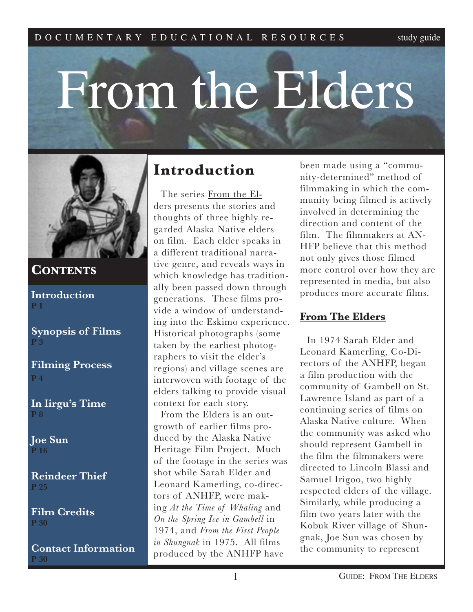# From the Elders



# **CONTENTS**

**Introduction P 1**

**Synopsis of Films P 3**

**Filming Process P 4**

**In Iirgu's Time P 8**

**Joe Sun P 16**

**Reindeer Thief P 25**

**Film Credits P 30**

**Contact Information P 30**

# **Introduction**

The series From the Elders presents the stories and thoughts of three highly regarded Alaska Native elders on film. Each elder speaks in a different traditional narrative genre, and reveals ways in which knowledge has traditionally been passed down through generations. These films provide a window of understanding into the Eskimo experience. Historical photographs (some taken by the earliest photographers to visit the elder's regions) and village scenes are interwoven with footage of the elders talking to provide visual context for each story.

From the Elders is an outgrowth of earlier films produced by the Alaska Native Heritage Film Project. Much of the footage in the series was shot while Sarah Elder and Leonard Kamerling, co-directors of ANHFP, were making *At the Time of Whaling* and *On the Spring Ice in Gambell* in 1974, and *From the First People in Shungnak* in 1975. All films produced by the ANHFP have

been made using a "community-determined" method of filmmaking in which the community being filmed is actively involved in determining the direction and content of the film. The filmmakers at AN-HFP believe that this method not only gives those filmed more control over how they are represented in media, but also produces more accurate films.

# **From The Elders**

In 1974 Sarah Elder and Leonard Kamerling, Co-Directors of the ANHFP, began a film production with the community of Gambell on St. Lawrence Island as part of a continuing series of films on Alaska Native culture. When the community was asked who should represent Gambell in the film the filmmakers were directed to Lincoln Blassi and Samuel Irigoo, two highly respected elders of the village. Similarly, while producing a film two years later with the Kobuk River village of Shungnak, Joe Sun was chosen by the community to represent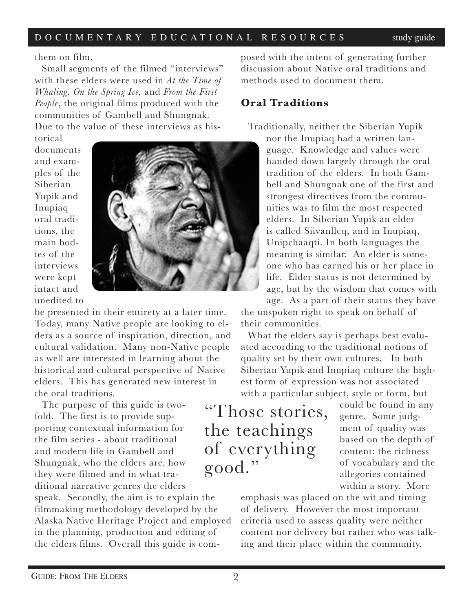them on film.

Small segments of the filmed "interviews" with these elders were used in *At the Time of Whaling, On the Spring Ice,* and *From the First People*, the original films produced with the communities of Gambell and Shungnak. Due to the value of these interviews as his-

torical documents and examples of the Siberian Yupik and Inupiaq oral traditions, the main bodies of the interviews were kept intact and unedited to



be presented in their entirety at a later time. Today, many Native people are looking to elders as a source of inspiration, direction, and cultural validation. Many non-Native people as well are interested in learning about the historical and cultural perspective of Native elders. This has generated new interest in the oral traditions.

The purpose of this guide is twofold. The first is to provide supporting contextual information for the film series - about traditional and modern life in Gambell and Shungnak, who the elders are, how they were filmed and in what traditional narrative genres the elders

speak. Secondly, the aim is to explain the filmmaking methodology developed by the Alaska Native Heritage Project and employed in the planning, production and editing of the elders films. Overall this guide is com-

posed with the intent of generating further discussion about Native oral traditions and methods used to document them.

### **Oral Traditions**

Traditionally, neither the Siberian Yupik

nor the Inupiaq had a written language. Knowledge and values were handed down largely through the oral tradition of the elders. In both Gambell and Shungnak one of the first and strongest directives from the communities was to film the most respected elders. In Siberian Yupik an elder is called Siivanlleq, and in Inupiaq, Unipchaaqti. In both languages the meaning is similar. An elder is someone who has earned his or her place in life. Elder status is not determined by age, but by the wisdom that comes with age. As a part of their status they have

the unspoken right to speak on behalf of their communities.

What the elders say is perhaps best evaluated according to the traditional notions of quality set by their own cultures. In both Siberian Yupik and Inupiaq culture the highest form of expression was not associated with a particular subject, style or form, but

"Those stories, the teachings of everything good."

could be found in any genre. Some judgment of quality was based on the depth of content: the richness of vocabulary and the allegories contained within a story. More

emphasis was placed on the wit and timing of delivery. However the most important criteria used to assess quality were neither content nor delivery but rather who was talking and their place within the community.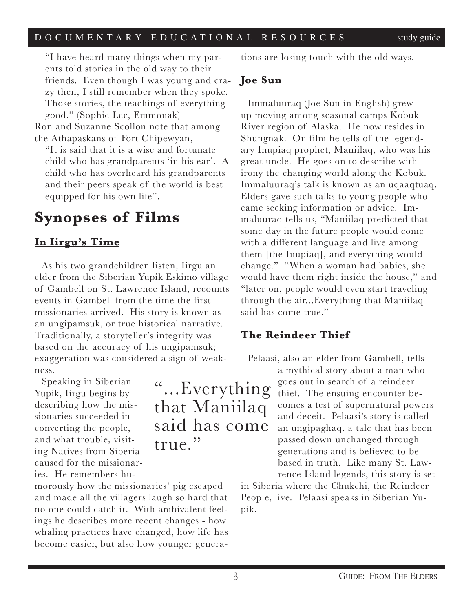"I have heard many things when my parents told stories in the old way to their friends. Even though I was young and crazy then, I still remember when they spoke. Those stories, the teachings of everything good." (Sophie Lee, Emmonak)

Ron and Suzanne Scollon note that among the Athapaskans of Fort Chipewyan,

"It is said that it is a wise and fortunate child who has grandparents 'in his ear'. A child who has overheard his grandparents and their peers speak of the world is best equipped for his own life".

# **Synopses of Films**

# **In Iirgu's Time**

As his two grandchildren listen, Iirgu an elder from the Siberian Yupik Eskimo village of Gambell on St. Lawrence Island, recounts events in Gambell from the time the first missionaries arrived. His story is known as an ungipamsuk, or true historical narrative. Traditionally, a storyteller's integrity was based on the accuracy of his ungipamsuk; exaggeration was considered a sign of weakness.

Speaking in Siberian Yupik, Iirgu begins by describing how the missionaries succeeded in converting the people, and what trouble, visiting Natives from Siberia caused for the missionaries. He remembers hu-

morously how the missionaries' pig escaped and made all the villagers laugh so hard that no one could catch it. With ambivalent feelings he describes more recent changes - how whaling practices have changed, how life has become easier, but also how younger genera-

"...Everything that Maniilaq said has come true."

tions are losing touch with the old ways.

### **Joe Sun**

Immaluuraq (Joe Sun in English) grew up moving among seasonal camps Kobuk River region of Alaska. He now resides in Shungnak. On film he tells of the legendary Inupiaq prophet, Maniilaq, who was his great uncle. He goes on to describe with irony the changing world along the Kobuk. Immaluuraq's talk is known as an uqaaqtuaq. Elders gave such talks to young people who came seeking information or advice. Immaluuraq tells us, "Maniilaq predicted that some day in the future people would come with a different language and live among them [the Inupiaq], and everything would change." "When a woman had babies, she would have them right inside the house," and "later on, people would even start traveling through the air...Everything that Maniilaq said has come true."

## **The Reindeer Thief**

Pelaasi, also an elder from Gambell, tells

a mythical story about a man who goes out in search of a reindeer thief. The ensuing encounter becomes a test of supernatural powers and deceit. Pelaasi's story is called an ungipaghaq, a tale that has been passed down unchanged through generations and is believed to be based in truth. Like many St. Lawrence Island legends, this story is set

in Siberia where the Chukchi, the Reindeer People, live. Pelaasi speaks in Siberian Yupik.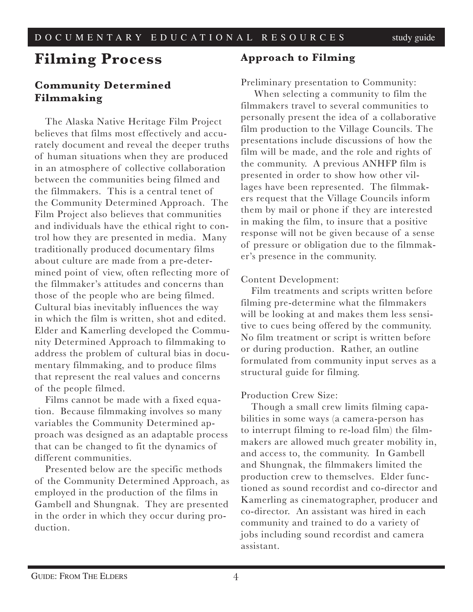# **Filming Process**

### **Community Determined Filmmaking**

The Alaska Native Heritage Film Project believes that films most effectively and accurately document and reveal the deeper truths of human situations when they are produced in an atmosphere of collective collaboration between the communities being filmed and the filmmakers. This is a central tenet of the Community Determined Approach. The Film Project also believes that communities and individuals have the ethical right to control how they are presented in media. Many traditionally produced documentary films about culture are made from a pre-determined point of view, often reflecting more of the filmmaker's attitudes and concerns than those of the people who are being filmed. Cultural bias inevitably influences the way in which the film is written, shot and edited. Elder and Kamerling developed the Community Determined Approach to filmmaking to address the problem of cultural bias in documentary filmmaking, and to produce films that represent the real values and concerns of the people filmed.

Films cannot be made with a fixed equation. Because filmmaking involves so many variables the Community Determined approach was designed as an adaptable process that can be changed to fit the dynamics of different communities.

Presented below are the specific methods of the Community Determined Approach, as employed in the production of the films in Gambell and Shungnak. They are presented in the order in which they occur during production.

### **Approach to Filming**

### Preliminary presentation to Community:

 When selecting a community to film the filmmakers travel to several communities to personally present the idea of a collaborative film production to the Village Councils. The presentations include discussions of how the film will be made, and the role and rights of the community. A previous ANHFP film is presented in order to show how other villages have been represented. The filmmakers request that the Village Councils inform them by mail or phone if they are interested in making the film, to insure that a positive response will not be given because of a sense of pressure or obligation due to the filmmaker's presence in the community.

### Content Development:

Film treatments and scripts written before filming pre-determine what the filmmakers will be looking at and makes them less sensitive to cues being offered by the community. No film treatment or script is written before or during production. Rather, an outline formulated from community input serves as a structural guide for filming.

### Production Crew Size:

Though a small crew limits filming capabilities in some ways (a camera-person has to interrupt filming to re-load film) the filmmakers are allowed much greater mobility in, and access to, the community. In Gambell and Shungnak, the filmmakers limited the production crew to themselves. Elder functioned as sound recordist and co-director and Kamerling as cinematographer, producer and co-director. An assistant was hired in each community and trained to do a variety of jobs including sound recordist and camera assistant.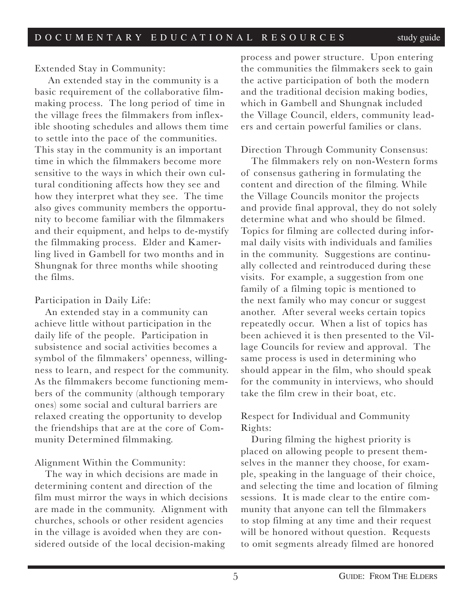Extended Stay in Community:

 An extended stay in the community is a basic requirement of the collaborative filmmaking process. The long period of time in the village frees the filmmakers from inflexible shooting schedules and allows them time to settle into the pace of the communities. This stay in the community is an important time in which the filmmakers become more sensitive to the ways in which their own cultural conditioning affects how they see and how they interpret what they see. The time also gives community members the opportunity to become familiar with the filmmakers and their equipment, and helps to de-mystify the filmmaking process. Elder and Kamerling lived in Gambell for two months and in Shungnak for three months while shooting the films.

### Participation in Daily Life:

An extended stay in a community can achieve little without participation in the daily life of the people. Participation in subsistence and social activities becomes a symbol of the filmmakers' openness, willingness to learn, and respect for the community. As the filmmakers become functioning members of the community (although temporary ones) some social and cultural barriers are relaxed creating the opportunity to develop the friendships that are at the core of Community Determined filmmaking.

### Alignment Within the Community:

The way in which decisions are made in determining content and direction of the film must mirror the ways in which decisions are made in the community. Alignment with churches, schools or other resident agencies in the village is avoided when they are considered outside of the local decision-making

process and power structure. Upon entering the communities the filmmakers seek to gain the active participation of both the modern and the traditional decision making bodies, which in Gambell and Shungnak included the Village Council, elders, community leaders and certain powerful families or clans.

### Direction Through Community Consensus:

The filmmakers rely on non-Western forms of consensus gathering in formulating the content and direction of the filming. While the Village Councils monitor the projects and provide final approval, they do not solely determine what and who should be filmed. Topics for filming are collected during informal daily visits with individuals and families in the community. Suggestions are continually collected and reintroduced during these visits. For example, a suggestion from one family of a filming topic is mentioned to the next family who may concur or suggest another. After several weeks certain topics repeatedly occur. When a list of topics has been achieved it is then presented to the Village Councils for review and approval. The same process is used in determining who should appear in the film, who should speak for the community in interviews, who should take the film crew in their boat, etc.

### Respect for Individual and Community Rights:

During filming the highest priority is placed on allowing people to present themselves in the manner they choose, for example, speaking in the language of their choice, and selecting the time and location of filming sessions. It is made clear to the entire community that anyone can tell the filmmakers to stop filming at any time and their request will be honored without question. Requests to omit segments already filmed are honored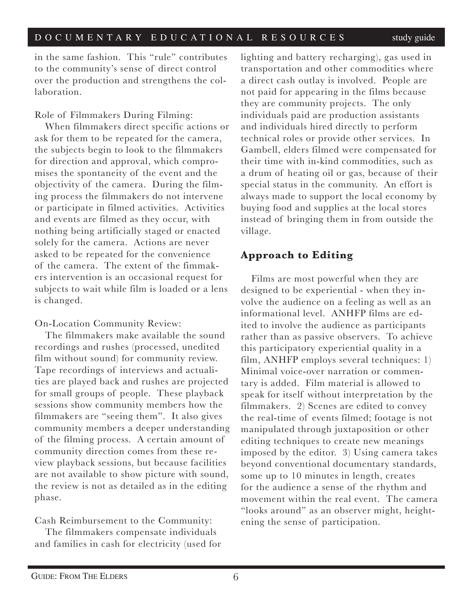in the same fashion. This "rule" contributes to the community's sense of direct control over the production and strengthens the collaboration.

Role of Filmmakers During Filming:

When filmmakers direct specific actions or ask for them to be repeated for the camera, the subjects begin to look to the filmmakers for direction and approval, which compromises the spontaneity of the event and the objectivity of the camera. During the filming process the filmmakers do not intervene or participate in filmed activities. Activities and events are filmed as they occur, with nothing being artificially staged or enacted solely for the camera. Actions are never asked to be repeated for the convenience of the camera. The extent of the fimmakers intervention is an occasional request for subjects to wait while film is loaded or a lens is changed.

On-Location Community Review:

The filmmakers make available the sound recordings and rushes (processed, unedited film without sound) for community review. Tape recordings of interviews and actualities are played back and rushes are projected for small groups of people. These playback sessions show community members how the filmmakers are "seeing them". It also gives community members a deeper understanding of the filming process. A certain amount of community direction comes from these review playback sessions, but because facilities are not available to show picture with sound, the review is not as detailed as in the editing phase.

Cash Reimbursement to the Community:

The filmmakers compensate individuals and families in cash for electricity (used for lighting and battery recharging), gas used in transportation and other commodities where a direct cash outlay is involved. People are not paid for appearing in the films because they are community projects. The only individuals paid are production assistants and individuals hired directly to perform technical roles or provide other services. In Gambell, elders filmed were compensated for their time with in-kind commodities, such as a drum of heating oil or gas, because of their special status in the community. An effort is always made to support the local economy by buying food and supplies at the local stores instead of bringing them in from outside the village.

# **Approach to Editing**

Films are most powerful when they are designed to be experiential - when they involve the audience on a feeling as well as an informational level. ANHFP films are edited to involve the audience as participants rather than as passive observers. To achieve this participatory experiential quality in a film, ANHFP employs several techniques: 1) Minimal voice-over narration or commentary is added. Film material is allowed to speak for itself without interpretation by the filmmakers. 2) Scenes are edited to convey the real-time of events filmed; footage is not manipulated through juxtaposition or other editing techniques to create new meanings imposed by the editor. 3) Using camera takes beyond conventional documentary standards, some up to 10 minutes in length, creates for the audience a sense of the rhythm and movement within the real event. The camera "looks around" as an observer might, heightening the sense of participation.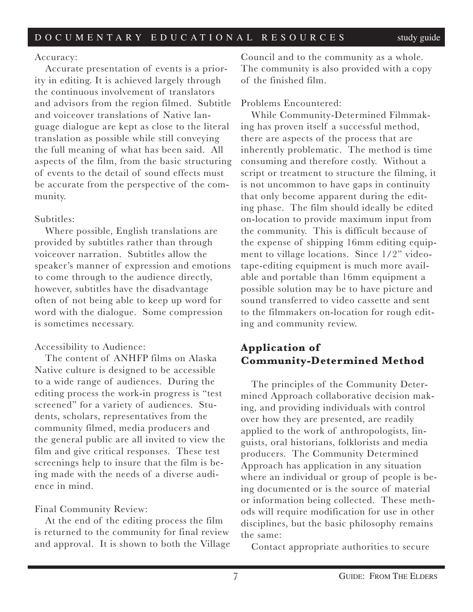### Accuracy:

Accurate presentation of events is a priority in editing. It is achieved largely through the continuous involvement of translators and advisors from the region filmed. Subtitle and voiceover translations of Native language dialogue are kept as close to the literal translation as possible while still conveying the full meaning of what has been said. All aspects of the film, from the basic structuring of events to the detail of sound effects must be accurate from the perspective of the community.

### Subtitles:

Where possible, English translations are provided by subtitles rather than through voiceover narration. Subtitles allow the speaker's manner of expression and emotions to come through to the audience directly, however, subtitles have the disadvantage often of not being able to keep up word for word with the dialogue. Some compression is sometimes necessary.

### Accessibility to Audience:

The content of ANHFP films on Alaska Native culture is designed to be accessible to a wide range of audiences. During the editing process the work-in progress is "test screened" for a variety of audiences. Students, scholars, representatives from the community filmed, media producers and the general public are all invited to view the film and give critical responses. These test screenings help to insure that the film is being made with the needs of a diverse audience in mind.

### Final Community Review:

At the end of the editing process the film is returned to the community for final review and approval. It is shown to both the Village

Council and to the community as a whole. The community is also provided with a copy of the finished film.

### Problems Encountered:

While Community-Determined Filmmaking has proven itself a successful method, there are aspects of the process that are inherently problematic. The method is time consuming and therefore costly. Without a script or treatment to structure the filming, it is not uncommon to have gaps in continuity that only become apparent during the editing phase. The film should ideally be edited on-location to provide maximum input from the community. This is difficult because of the expense of shipping 16mm editing equipment to village locations. Since 1/2" videotape-editing equipment is much more available and portable than 16mm equipment a possible solution may be to have picture and sound transferred to video cassette and sent to the filmmakers on-location for rough editing and community review.

# **Application of Community-Determined Method**

The principles of the Community Determined Approach collaborative decision making, and providing individuals with control over how they are presented, are readily applied to the work of anthropologists, linguists, oral historians, folklorists and media producers. The Community Determined Approach has application in any situation where an individual or group of people is being documented or is the source of material or information being collected. These methods will require modification for use in other disciplines, but the basic philosophy remains the same:

Contact appropriate authorities to secure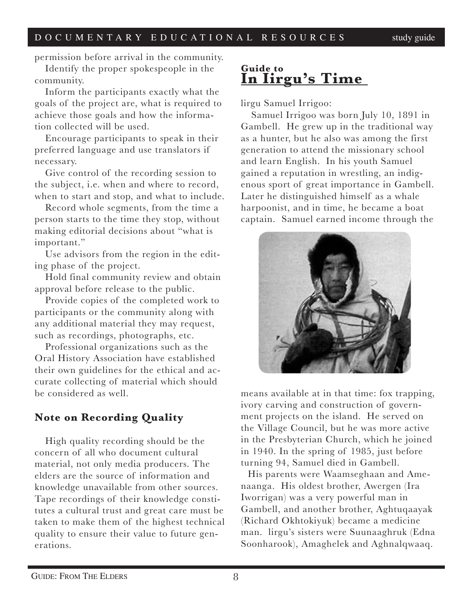permission before arrival in the community.

Identify the proper spokespeople in the community.

Inform the participants exactly what the goals of the project are, what is required to achieve those goals and how the information collected will be used.

Encourage participants to speak in their preferred language and use translators if necessary.

Give control of the recording session to the subject, i.e. when and where to record, when to start and stop, and what to include.

Record whole segments, from the time a person starts to the time they stop, without making editorial decisions about "what is important."

Use advisors from the region in the editing phase of the project.

Hold final community review and obtain approval before release to the public.

Provide copies of the completed work to participants or the community along with any additional material they may request, such as recordings, photographs, etc.

Professional organizations such as the Oral History Association have established their own guidelines for the ethical and accurate collecting of material which should be considered as well.

# **Note on Recording Quality**

High quality recording should be the concern of all who document cultural material, not only media producers. The elders are the source of information and knowledge unavailable from other sources. Tape recordings of their knowledge constitutes a cultural trust and great care must be taken to make them of the highest technical quality to ensure their value to future generations.

# **Guide to In Iirgu's Time**

lirgu Samuel Irrigoo:

Samuel Irrigoo was born July 10, 1891 in Gambell. He grew up in the traditional way as a hunter, but he also was among the first generation to attend the missionary school and learn English. In his youth Samuel gained a reputation in wrestling, an indigenous sport of great importance in Gambell. Later he distinguished himself as a whale harpoonist, and in time, he became a boat captain. Samuel earned income through the



means available at in that time: fox trapping, ivory carving and construction of government projects on the island. He served on the Village Council, but he was more active in the Presbyterian Church, which he joined in 1940. In the spring of 1985, just before turning 94, Samuel died in Gambell.

His parents were Waamseghaan and Amenaanga. His oldest brother, Awergen (Ira Iworrigan) was a very powerful man in Gambell, and another brother, Aghtuqaayak (Richard Okhtokiyuk) became a medicine man. lirgu's sisters were Suunaaghruk (Edna Soonharook), Amaghelek and Aghnalqwaaq.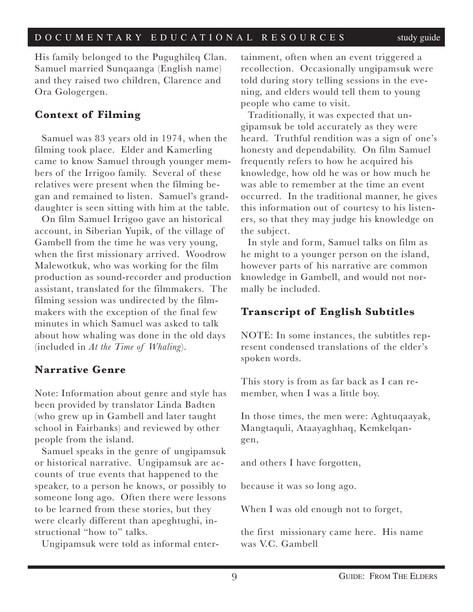His family belonged to the Pugughileq Clan. Samuel married Sunqaanga (English name) and they raised two children, Clarence and Ora Gologergen.

# **Context of Filming**

Samuel was 83 years old in 1974, when the filming took place. Elder and Kamerling came to know Samuel through younger members of the Irrigoo family. Several of these relatives were present when the filming began and remained to listen. Samuel's granddaughter is seen sitting with him at the table.

On film Samuel Irrigoo gave an historical account, in Siberian Yupik, of the village of Gambell from the time he was very young, when the first missionary arrived. Woodrow Malewotkuk, who was working for the film production as sound-recorder and production assistant, translated for the filmmakers. The filming session was undirected by the filmmakers with the exception of the final few minutes in which Samuel was asked to talk about how whaling was done in the old days (included in *At the Time of Whaling*).

## **Narrative Genre**

Note: Information about genre and style has been provided by translator Linda Badten (who grew up in Gambell and later taught school in Fairbanks) and reviewed by other people from the island.

Samuel speaks in the genre of ungipamsuk or historical narrative. Ungipamsuk are accounts of true events that happened to the speaker, to a person he knows, or possibly to someone long ago. Often there were lessons to be learned from these stories, but they were clearly different than apeghtughi, instructional "how to" talks.

Ungipamsuk were told as informal enter-

tainment, often when an event triggered a recollection. Occasionally ungipamsuk were told during story telling sessions in the evening, and elders would tell them to young people who came to visit.

Traditionally, it was expected that ungipamsuk be told accurately as they were heard. Truthful rendition was a sign of one's honesty and dependability. On film Samuel frequently refers to how he acquired his knowledge, how old he was or how much he was able to remember at the time an event occurred. In the traditional manner, he gives this information out of courtesy to his listeners, so that they may judge his knowledge on the subject.

In style and form, Samuel talks on film as he might to a younger person on the island, however parts of his narrative are common knowledge in Gambell, and would not normally be included.

# **Transcript of English Subtitles**

NOTE: In some instances, the subtitles represent condensed translations of the elder's spoken words.

This story is from as far back as I can remember, when I was a little boy.

In those times, the men were: Aghtuqaayak, Mangtaquli, Ataayaghhaq, Kemkelqangen,

and others I have forgotten,

because it was so long ago.

When I was old enough not to forget,

the first missionary came here. His name was V.C. Gambell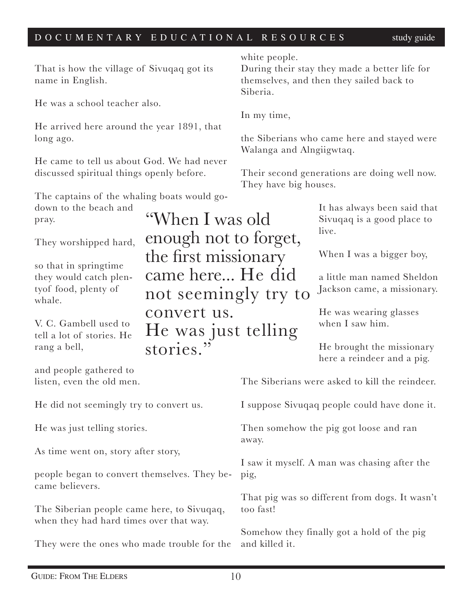"When I was old

enough not to forget,

came here... He did

He was just telling

not seemingly try to

the first missionary

convert us.

stories."

That is how the village of Sivuqaq got its name in English.

He was a school teacher also.

He arrived here around the year 1891, that long ago.

He came to tell us about God. We had never discussed spiritual things openly before.

The captains of the whaling boats would go-

down to the beach and pray.

They worshipped hard,

so that in springtime they would catch plentyof food, plenty of whale.

V. C. Gambell used to tell a lot of stories. He rang a bell,

and people gathered to listen, even the old men.

He did not seemingly try to convert us.

He was just telling stories.

As time went on, story after story,

people began to convert themselves. They became believers.

The Siberian people came here, to Sivuqaq, when they had hard times over that way.

They were the ones who made trouble for the

white people.

During their stay they made a better life for themselves, and then they sailed back to Siberia.

In my time,

the Siberians who came here and stayed were Walanga and Alngiigwtaq.

Their second generations are doing well now. They have big houses.

> It has always been said that Sivuqaq is a good place to live.

When I was a bigger boy,

a little man named Sheldon Jackson came, a missionary.

He was wearing glasses when I saw him.

He brought the missionary here a reindeer and a pig.

The Siberians were asked to kill the reindeer.

I suppose Sivuqaq people could have done it.

Then somehow the pig got loose and ran away.

I saw it myself. A man was chasing after the pig,

That pig was so different from dogs. It wasn't too fast!

Somehow they finally got a hold of the pig and killed it.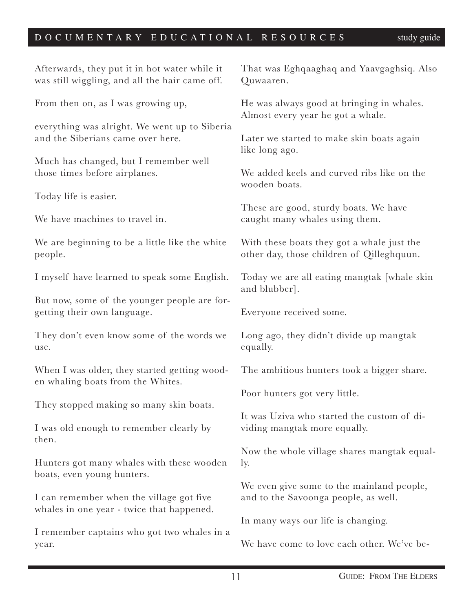| Afterwards, they put it in hot water while it<br>was still wiggling, and all the hair came off. | That was Eghqaaghaq and Yaavgaghsiq. Also<br>Quwaaren.                                  |
|-------------------------------------------------------------------------------------------------|-----------------------------------------------------------------------------------------|
| From then on, as I was growing up,                                                              | He was always good at bringing in whales.<br>Almost every year he got a whale.          |
| everything was alright. We went up to Siberia<br>and the Siberians came over here.              | Later we started to make skin boats again<br>like long ago.                             |
| Much has changed, but I remember well<br>those times before airplanes.                          | We added keels and curved ribs like on the<br>wooden boats.                             |
| Today life is easier.                                                                           |                                                                                         |
| We have machines to travel in.                                                                  | These are good, sturdy boats. We have<br>caught many whales using them.                 |
| We are beginning to be a little like the white<br>people.                                       | With these boats they got a whale just the<br>other day, those children of Qilleghquun. |
| I myself have learned to speak some English.                                                    | Today we are all eating mangtak [whale skin<br>and blubber].                            |
| But now, some of the younger people are for-<br>getting their own language.                     | Everyone received some.                                                                 |
| They don't even know some of the words we<br>use.                                               | Long ago, they didn't divide up mangtak<br>equally.                                     |
| When I was older, they started getting wood-<br>en whaling boats from the Whites.               | The ambitious hunters took a bigger share.                                              |
|                                                                                                 | Poor hunters got very little.                                                           |
| They stopped making so many skin boats.<br>I was old enough to remember clearly by              | It was Uziva who started the custom of di-<br>viding mangtak more equally.              |
| then.<br>Hunters got many whales with these wooden                                              | Now the whole village shares mangtak equal-<br>ly.                                      |
| boats, even young hunters.<br>I can remember when the village got five                          | We even give some to the mainland people,<br>and to the Savoonga people, as well.       |
| whales in one year - twice that happened.                                                       | In many ways our life is changing.                                                      |
| I remember captains who got two whales in a<br>year.                                            | We have come to love each other. We've be-                                              |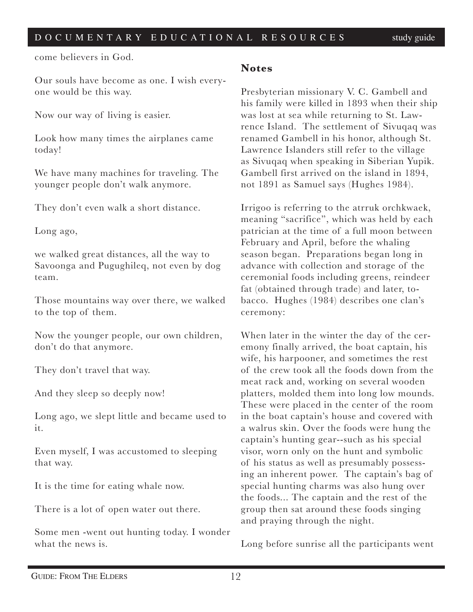come believers in God.

Our souls have become as one. I wish everyone would be this way.

Now our way of living is easier.

Look how many times the airplanes came today!

We have many machines for traveling. The younger people don't walk anymore.

They don't even walk a short distance.

Long ago,

we walked great distances, all the way to Savoonga and Pugughileq, not even by dog team.

Those mountains way over there, we walked to the top of them.

Now the younger people, our own children, don't do that anymore.

They don't travel that way.

And they sleep so deeply now!

Long ago, we slept little and became used to it.

Even myself, I was accustomed to sleeping that way.

It is the time for eating whale now.

There is a lot of open water out there.

Some men -went out hunting today. I wonder what the news is.

### **Notes**

Presbyterian missionary V. C. Gambell and his family were killed in 1893 when their ship was lost at sea while returning to St. Lawrence Island. The settlement of Sivuqaq was renamed Gambell in his honor, although St. Lawrence Islanders still refer to the village as Sivuqaq when speaking in Siberian Yupik. Gambell first arrived on the island in 1894, not 1891 as Samuel says (Hughes 1984).

Irrigoo is referring to the atrruk orchkwaek, meaning "sacrifice", which was held by each patrician at the time of a full moon between February and April, before the whaling season began. Preparations began long in advance with collection and storage of the ceremonial foods including greens, reindeer fat (obtained through trade) and later, tobacco. Hughes (1984) describes one clan's ceremony:

When later in the winter the day of the ceremony finally arrived, the boat captain, his wife, his harpooner, and sometimes the rest of the crew took all the foods down from the meat rack and, working on several wooden platters, molded them into long low mounds. These were placed in the center of the room in the boat captain's house and covered with a walrus skin. Over the foods were hung the captain's hunting gear--such as his special visor, worn only on the hunt and symbolic of his status as well as presumably possessing an inherent power. The captain's bag of special hunting charms was also hung over the foods... The captain and the rest of the group then sat around these foods singing and praying through the night.

Long before sunrise all the participants went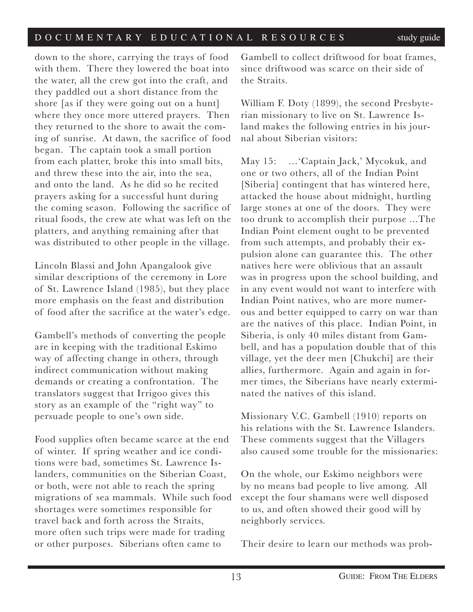down to the shore, carrying the trays of food with them. There they lowered the boat into the water, all the crew got into the craft, and they paddled out a short distance from the shore [as if they were going out on a hunt] where they once more uttered prayers. Then they returned to the shore to await the coming of sunrise. At dawn, the sacrifice of food began. The captain took a small portion from each platter, broke this into small bits, and threw these into the air, into the sea, and onto the land. As he did so he recited prayers asking for a successful hunt during the coming season. Following the sacrifice of ritual foods, the crew ate what was left on the platters, and anything remaining after that was distributed to other people in the village.

Lincoln Blassi and John Apangalook give similar descriptions of the ceremony in Lore of St. Lawrence Island (1985), but they place more emphasis on the feast and distribution of food after the sacrifice at the water's edge.

Gambell's methods of converting the people are in keeping with the traditional Eskimo way of affecting change in others, through indirect communication without making demands or creating a confrontation. The translators suggest that Irrigoo gives this story as an example of the "right way" to persuade people to one's own side.

Food supplies often became scarce at the end of winter. If spring weather and ice conditions were bad, sometimes St. Lawrence Islanders, communities on the Siberian Coast, or both, were not able to reach the spring migrations of sea mammals. While such food shortages were sometimes responsible for travel back and forth across the Straits, more often such trips were made for trading or other purposes. Siberians often came to

Gambell to collect driftwood for boat frames, since driftwood was scarce on their side of the Straits.

William F. Doty (1899), the second Presbyterian missionary to live on St. Lawrence Island makes the following entries in his journal about Siberian visitors:

May 15: …'Captain Jack,' Mycokuk, and one or two others, all of the Indian Point [Siberia] contingent that has wintered here, attacked the house about midnight, hurtling large stones at one of the doors. They were too drunk to accomplish their purpose ...The Indian Point element ought to be prevented from such attempts, and probably their expulsion alone can guarantee this. The other natives here were oblivious that an assault was in progress upon the school building, and in any event would not want to interfere with Indian Point natives, who are more numerous and better equipped to carry on war than are the natives of this place. Indian Point, in Siberia, is only 40 miles distant from Gambell, and has a population double that of this village, yet the deer men [Chukchi] are their allies, furthermore. Again and again in former times, the Siberians have nearly exterminated the natives of this island.

Missionary V.C. Gambell (1910) reports on his relations with the St. Lawrence Islanders. These comments suggest that the Villagers also caused some trouble for the missionaries:

On the whole, our Eskimo neighbors were by no means bad people to live among. All except the four shamans were well disposed to us, and often showed their good will by neighborly services.

Their desire to learn our methods was prob-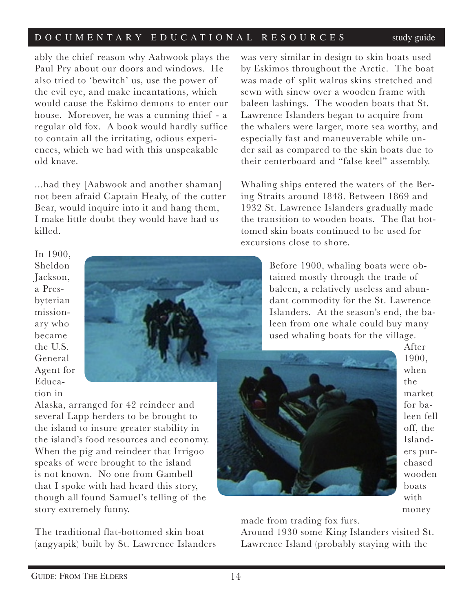ably the chief reason why Aabwook plays the Paul Pry about our doors and windows. He also tried to 'bewitch' us, use the power of the evil eye, and make incantations, which would cause the Eskimo demons to enter our house. Moreover, he was a cunning thief - a regular old fox. A book would hardly suffice to contain all the irritating, odious experiences, which we had with this unspeakable old knave.

...had they [Aabwook and another shaman] not been afraid Captain Healy, of the cutter Bear, would inquire into it and hang them, I make little doubt they would have had us killed.

In 1900, Sheldon Jackson, a Presbyterian missionary who became the U.S. General Agent for Education in



Alaska, arranged for 42 reindeer and several Lapp herders to be brought to the island to insure greater stability in the island's food resources and economy. When the pig and reindeer that Irrigoo speaks of were brought to the island is not known. No one from Gambell that I spoke with had heard this story, though all found Samuel's telling of the story extremely funny.

The traditional flat-bottomed skin boat (angyapik) built by St. Lawrence Islanders

was very similar in design to skin boats used by Eskimos throughout the Arctic. The boat was made of split walrus skins stretched and sewn with sinew over a wooden frame with baleen lashings. The wooden boats that St. Lawrence Islanders began to acquire from the whalers were larger, more sea worthy, and especially fast and maneuverable while under sail as compared to the skin boats due to their centerboard and "false keel" assembly.

Whaling ships entered the waters of the Bering Straits around 1848. Between 1869 and 1932 St. Lawrence Islanders gradually made the transition to wooden boats. The flat bottomed skin boats continued to be used for excursions close to shore.

> Before 1900, whaling boats were obtained mostly through the trade of baleen, a relatively useless and abundant commodity for the St. Lawrence Islanders. At the season's end, the baleen from one whale could buy many used whaling boats for the village.



After 1900, when the market for baleen fell off, the Islanders purchased wooden boats with money

made from trading fox furs.

Around 1930 some King Islanders visited St. Lawrence Island (probably staying with the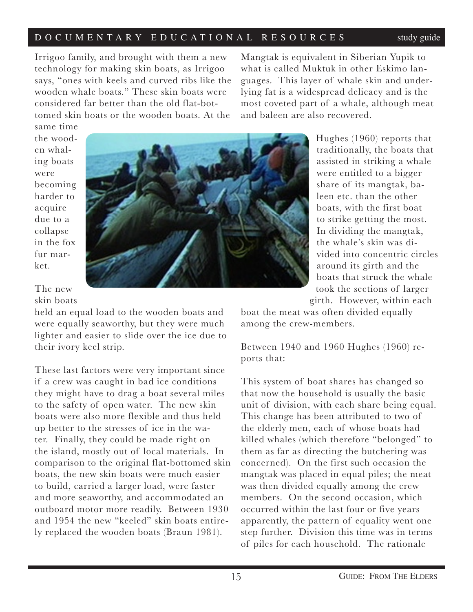Irrigoo family, and brought with them a new technology for making skin boats, as Irrigoo says, "ones with keels and curved ribs like the wooden whale boats." These skin boats were considered far better than the old flat-bottomed skin boats or the wooden boats. At the

Mangtak is equivalent in Siberian Yupik to what is called Muktuk in other Eskimo languages. This layer of whale skin and underlying fat is a widespread delicacy and is the most coveted part of a whale, although meat and baleen are also recovered.

same time the wooden whaling boats were becoming harder to acquire due to a collapse in the fox fur market.

The new skin boats

held an equal load to the wooden boats and were equally seaworthy, but they were much lighter and easier to slide over the ice due to their ivory keel strip.

These last factors were very important since if a crew was caught in bad ice conditions they might have to drag a boat several miles to the safety of open water. The new skin boats were also more flexible and thus held up better to the stresses of ice in the water. Finally, they could be made right on the island, mostly out of local materials. In comparison to the original flat-bottomed skin boats, the new skin boats were much easier to build, carried a larger load, were faster and more seaworthy, and accommodated an outboard motor more readily. Between 1930 and 1954 the new "keeled" skin boats entirely replaced the wooden boats (Braun 1981).

Hughes (1960) reports that traditionally, the boats that assisted in striking a whale were entitled to a bigger share of its mangtak, baleen etc. than the other boats, with the first boat to strike getting the most. In dividing the mangtak, the whale's skin was divided into concentric circles around its girth and the boats that struck the whale took the sections of larger girth. However, within each

boat the meat was often divided equally among the crew-members.

Between 1940 and 1960 Hughes (1960) reports that:

This system of boat shares has changed so that now the household is usually the basic unit of division, with each share being equal. This change has been attributed to two of the elderly men, each of whose boats had killed whales (which therefore "belonged" to them as far as directing the butchering was concerned). On the first such occasion the mangtak was placed in equal piles; the meat was then divided equally among the crew members. On the second occasion, which occurred within the last four or five years apparently, the pattern of equality went one step further. Division this time was in terms of piles for each household. The rationale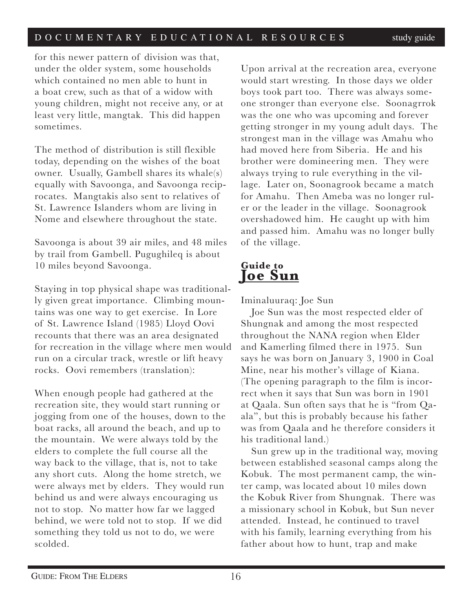for this newer pattern of division was that, under the older system, some households which contained no men able to hunt in a boat crew, such as that of a widow with young children, might not receive any, or at least very little, mangtak. This did happen sometimes.

The method of distribution is still flexible today, depending on the wishes of the boat owner. Usually, Gambell shares its whale(s) equally with Savoonga, and Savoonga reciprocates. Mangtakis also sent to relatives of St. Lawrence Islanders whom are living in Nome and elsewhere throughout the state.

Savoonga is about 39 air miles, and 48 miles by trail from Gambell. Pugughileq is about 10 miles beyond Savoonga.

Staying in top physical shape was traditionally given great importance. Climbing mountains was one way to get exercise. In Lore of St. Lawrence Island (1985) Lloyd Oovi recounts that there was an area designated for recreation in the village where men would run on a circular track, wrestle or lift heavy rocks. Oovi remembers (translation):

When enough people had gathered at the recreation site, they would start running or jogging from one of the houses, down to the boat racks, all around the beach, and up to the mountain. We were always told by the elders to complete the full course all the way back to the village, that is, not to take any short cuts. Along the home stretch, we were always met by elders. They would run behind us and were always encouraging us not to stop. No matter how far we lagged behind, we were told not to stop. If we did something they told us not to do, we were scolded.

Upon arrival at the recreation area, everyone would start wresting. In those days we older boys took part too. There was always someone stronger than everyone else. Soonagrrok was the one who was upcoming and forever getting stronger in my young adult days. The strongest man in the village was Amahu who had moved here from Siberia. He and his brother were domineering men. They were always trying to rule everything in the village. Later on, Soonagrook became a match for Amahu. Then Ameba was no longer ruler or the leader in the village. Soonagrook overshadowed him. He caught up with him and passed him. Amahu was no longer bully of the village.

# **Guide to Joe Sun**

### Iminaluuraq: Joe Sun

Joe Sun was the most respected elder of Shungnak and among the most respected throughout the NANA region when Elder and Kamerling filmed there in 1975. Sun says he was born on January 3, 1900 in Coal Mine, near his mother's village of Kiana. (The opening paragraph to the film is incorrect when it says that Sun was born in 1901 at Qaala. Sun often says that he is "from Qaala", but this is probably because his father was from Qaala and he therefore considers it his traditional land.)

Sun grew up in the traditional way, moving between established seasonal camps along the Kobuk. The most permanent camp, the winter camp, was located about 10 miles down the Kobuk River from Shungnak. There was a missionary school in Kobuk, but Sun never attended. Instead, he continued to travel with his family, learning everything from his father about how to hunt, trap and make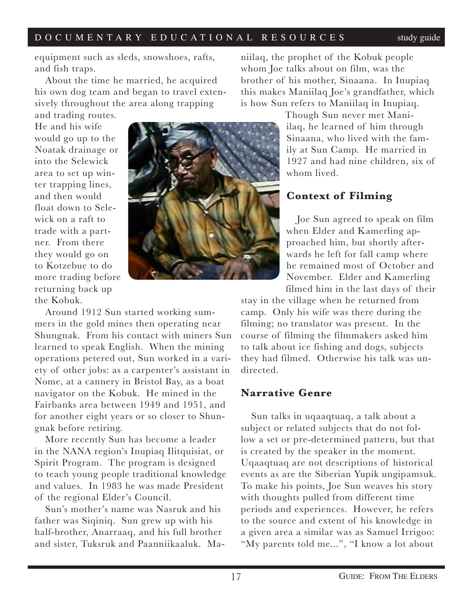equipment such as sleds, snowshoes, rafts, and fish traps.

About the time he married, he acquired his own dog team and began to travel extensively throughout the area along trapping

and trading routes. He and his wife would go up to the Noatak drainage or into the Selewick area to set up winter trapping lines, and then would float down to Selewick on a raft to trade with a partner. From there they would go on to Kotzebue to do more trading before returning back up the Kobuk.



Around 1912 Sun started working summers in the gold mines then operating near Shungnak. From his contact with miners Sun learned to speak English. When the mining operations petered out, Sun worked in a variety of other jobs: as a carpenter's assistant in Nome, at a cannery in Bristol Bay, as a boat navigator on the Kobuk. He mined in the Fairbanks area between 1949 and 1951, and for another eight years or so closer to Shungnak before retiring.

More recently Sun has become a leader in the NANA region's Inupiaq Ilitquisiat, or Spirit Program. The program is designed to teach young people traditional knowledge and values. In 1983 he was made President of the regional Elder's Council.

Sun's mother's name was Nasruk and his father was Siqiniq. Sun grew up with his half-brother, Anarraaq, and his full brother and sister, Tuksruk and Paanniikaaluk. Maniilaq, the prophet of the Kobuk people whom Joe talks about on film, was the brother of his mother, Sinaana. In Inupiaq this makes Maniilaq Joe's grandfather, which is how Sun refers to Maniilaq in Inupiaq.

> Though Sun never met Maniilaq, he learned of him through Sinaana, who lived with the family at Sun Camp. He married in 1927 and had nine children, six of whom lived.

### **Context of Filming**

Joe Sun agreed to speak on film when Elder and Kamerling approached him, but shortly afterwards he left for fall camp where he remained most of October and November. Elder and Kamerling filmed him in the last days of their

stay in the village when he returned from camp. Only his wife was there during the filming; no translator was present. In the course of filming the filmmakers asked him to talk about ice fishing and dogs, subjects they had filmed. Otherwise his talk was undirected.

### **Narrative Genre**

Sun talks in uqaaqtuaq, a talk about a subject or related subjects that do not follow a set or pre-determined pattern, but that is created by the speaker in the moment. Uqaaqtuaq are not descriptions of historical events as are the Siberian Yupik ungipamsuk. To make his points, Joe Sun weaves his story with thoughts pulled from different time periods and experiences. However, he refers to the source and extent of his knowledge in a given area a similar was as Samuel Irrigoo: "My parents told me...", "I know a lot about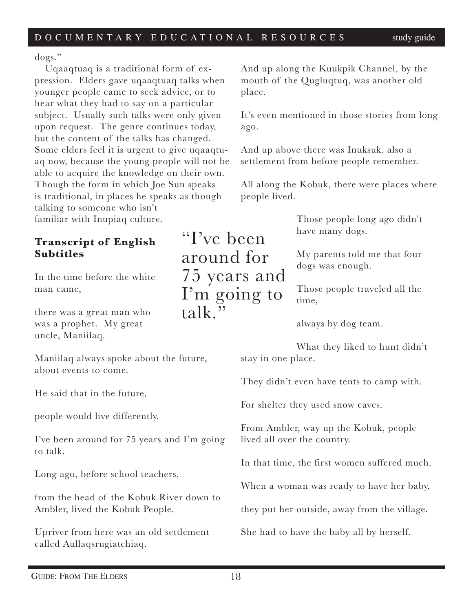"I've been

around for

75 years and

I'm going to

 $t$ alk $\overline{v}$ 

dogs."

Uqaaqtuaq is a traditional form of expression. Elders gave uqaaqtuaq talks when younger people came to seek advice, or to hear what they had to say on a particular subject. Usually such talks were only given upon request. The genre continues today, but the content of the talks has changed. Some elders feel it is urgent to give uqaaqtuaq now, because the young people will not be able to acquire the knowledge on their own. Though the form in which Joe Sun speaks is traditional, in places he speaks as though talking to someone who isn't familiar with Inupiaq culture.

### **Transcript of English Subtitles**

In the time before the white man came,

there was a great man who was a prophet. My great uncle, Maniilaq.

Maniilaq always spoke about the future, about events to come.

He said that in the future,

people would live differently.

I've been around for 75 years and I'm going to talk.

Long ago, before school teachers,

from the head of the Kobuk River down to Ambler, lived the Kobuk People.

Upriver from here was an old settlement called Aullaqsrugiatchiaq.

And up along the Kuukpik Channel, by the mouth of the Qugluqtuq, was another old place.

It's even mentioned in those stories from long ago.

And up above there was Inuksuk, also a settlement from before people remember.

All along the Kobuk, there were places where people lived.

> Those people long ago didn't have many dogs.

> My parents told me that four dogs was enough.

Those people traveled all the time,

always by dog team.

What they liked to hunt didn't stay in one place.

They didn't even have tents to camp with.

For shelter they used snow caves.

From Ambler, way up the Kobuk, people lived all over the country.

In that time, the first women suffered much.

When a woman was ready to have her baby,

they put her outside, away from the village.

She had to have the baby all by herself.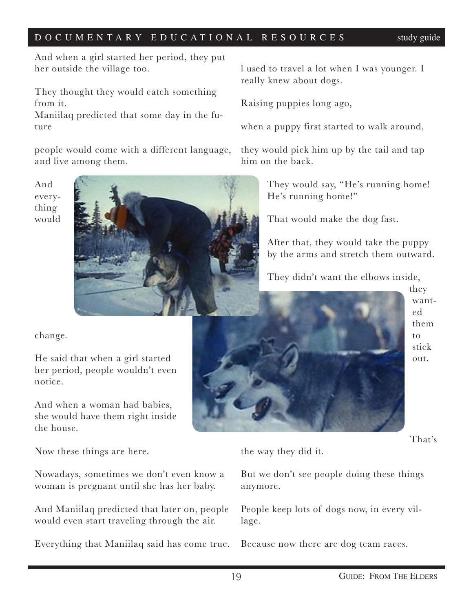And when a girl started her period, they put her outside the village too.

They thought they would catch something from it.

Maniilaq predicted that some day in the future

people would come with a different language, and live among them.

And everything would



change.

He said that when a girl started her period, people wouldn't even notice.

And when a woman had babies, she would have them right inside the house.

Now these things are here.

Nowadays, sometimes we don't even know a woman is pregnant until she has her baby.

And Maniilaq predicted that later on, people would even start traveling through the air.

Everything that Maniilaq said has come true.

l used to travel a lot when I was younger. I really knew about dogs.

Raising puppies long ago,

when a puppy first started to walk around,

they would pick him up by the tail and tap him on the back.

> They would say, "He's running home! He's running home!"

That would make the dog fast.

After that, they would take the puppy by the arms and stretch them outward.

They didn't want the elbows inside,

they wanted them to stick out.

That's

the way they did it.

But we don't see people doing these things anymore.

People keep lots of dogs now, in every village.

Because now there are dog team races.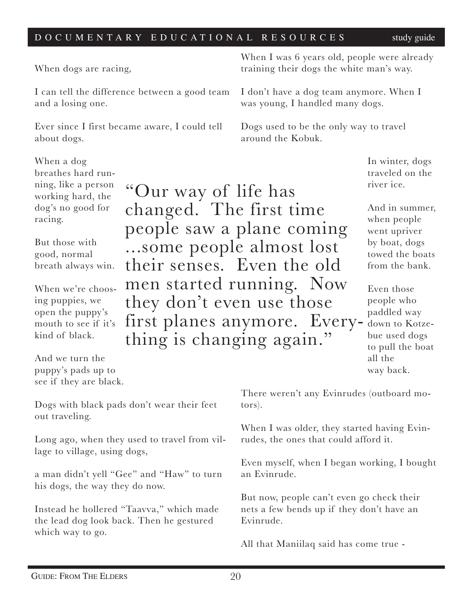"Our way of life has

changed. The first time

people saw a plane coming

...some people almost lost

their senses. Even the old

men started running. Now

they don't even use those

When dogs are racing,

I can tell the difference between a good team and a losing one.

Ever since I first became aware, I could tell about dogs.

When a dog breathes hard running, like a person working hard, the dog's no good for racing.

good, normal breath always win.

When we're choosing puppies, we open the puppy's mouth to see if it's kind of black.

And we turn the puppy's pads up to see if they are black.

Dogs with black pads don't wear their feet out traveling.

Long ago, when they used to travel from village to village, using dogs,

a man didn't yell "Gee" and "Haw" to turn his dogs, the way they do now.

Instead he hollered "Taavva," which made the lead dog look back. Then he gestured which way to go.

When I was 6 years old, people were already training their dogs the white man's way.

I don't have a dog team anymore. When I was young, I handled many dogs.

Dogs used to be the only way to travel around the Kobuk.

> In winter, dogs traveled on the river ice.

And in summer, when people went upriver by boat, dogs towed the boats from the bank.

Even those people who paddled way down to Kotzebue used dogs to pull the boat all the way back. first planes anymore. Every- thing is changing again."

> There weren't any Evinrudes (outboard motors).

> When I was older, they started having Evinrudes, the ones that could afford it.

Even myself, when I began working, I bought an Evinrude.

But now, people can't even go check their nets a few bends up if they don't have an Evinrude.

All that Maniilaq said has come true -

But those with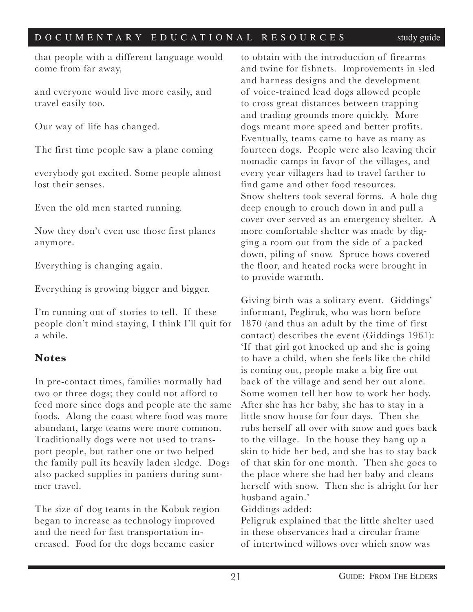that people with a different language would come from far away,

and everyone would live more easily, and travel easily too.

Our way of life has changed.

The first time people saw a plane coming

everybody got excited. Some people almost lost their senses.

Even the old men started running.

Now they don't even use those first planes anymore.

Everything is changing again.

Everything is growing bigger and bigger.

I'm running out of stories to tell. If these people don't mind staying, I think I'll quit for a while.

### **Notes**

In pre-contact times, families normally had two or three dogs; they could not afford to feed more since dogs and people ate the same foods. Along the coast where food was more abundant, large teams were more common. Traditionally dogs were not used to transport people, but rather one or two helped the family pull its heavily laden sledge. Dogs also packed supplies in paniers during summer travel.

The size of dog teams in the Kobuk region began to increase as technology improved and the need for fast transportation increased. Food for the dogs became easier

to obtain with the introduction of firearms and twine for fishnets. Improvements in sled and harness designs and the development of voice-trained lead dogs allowed people to cross great distances between trapping and trading grounds more quickly. More dogs meant more speed and better profits. Eventually, teams came to have as many as fourteen dogs. People were also leaving their nomadic camps in favor of the villages, and every year villagers had to travel farther to find game and other food resources. Snow shelters took several forms. A hole dug deep enough to crouch down in and pull a cover over served as an emergency shelter. A more comfortable shelter was made by digging a room out from the side of a packed down, piling of snow. Spruce bows covered the floor, and heated rocks were brought in to provide warmth.

Giving birth was a solitary event. Giddings' informant, Pegliruk, who was born before 1870 (and thus an adult by the time of first contact) describes the event (Giddings 1961): 'If that girl got knocked up and she is going to have a child, when she feels like the child is coming out, people make a big fire out back of the village and send her out alone. Some women tell her how to work her body. After she has her baby, she has to stay in a little snow house for four days. Then she rubs herself all over with snow and goes back to the village. In the house they hang up a skin to hide her bed, and she has to stay back of that skin for one month. Then she goes to the place where she had her baby and cleans herself with snow. Then she is alright for her husband again.'

Giddings added:

Peligruk explained that the little shelter used in these observances had a circular frame of intertwined willows over which snow was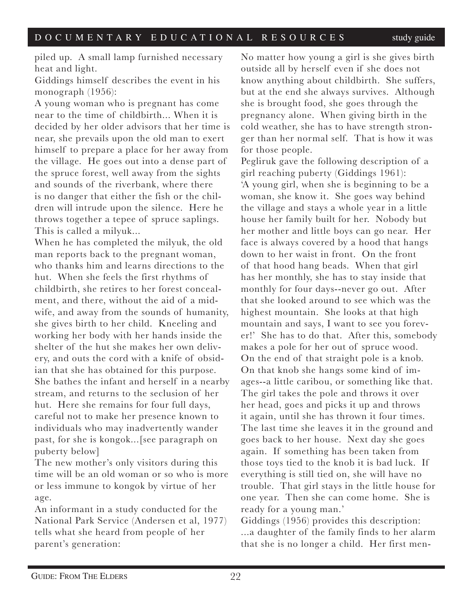piled up. A small lamp furnished necessary heat and light.

Giddings himself describes the event in his monograph (1956):

A young woman who is pregnant has come near to the time of childbirth... When it is decided by her older advisors that her time is near, she prevails upon the old man to exert himself to prepare a place for her away from the village. He goes out into a dense part of the spruce forest, well away from the sights and sounds of the riverbank, where there is no danger that either the fish or the children will intrude upon the silence. Here he throws together a tepee of spruce saplings. This is called a milyuk...

When he has completed the milyuk, the old man reports back to the pregnant woman, who thanks him and learns directions to the hut. When she feels the first rhythms of childbirth, she retires to her forest concealment, and there, without the aid of a midwife, and away from the sounds of humanity, she gives birth to her child. Kneeling and working her body with her hands inside the shelter of the hut she makes her own delivery, and outs the cord with a knife of obsidian that she has obtained for this purpose. She bathes the infant and herself in a nearby stream, and returns to the seclusion of her hut. Here she remains for four full days, careful not to make her presence known to individuals who may inadvertently wander past, for she is kongok...[see paragraph on puberty below]

The new mother's only visitors during this time will be an old woman or so who is more or less immune to kongok by virtue of her age.

An informant in a study conducted for the National Park Service (Andersen et al, 1977) tells what she heard from people of her parent's generation:

No matter how young a girl is she gives birth outside all by herself even if she does not know anything about childbirth. She suffers, but at the end she always survives. Although she is brought food, she goes through the pregnancy alone. When giving birth in the cold weather, she has to have strength stronger than her normal self. That is how it was for those people.

Pegliruk gave the following description of a girl reaching puberty (Giddings 1961): 'A young girl, when she is beginning to be a woman, she know it. She goes way behind the village and stays a whole year in a little house her family built for her. Nobody but her mother and little boys can go near. Her face is always covered by a hood that hangs down to her waist in front. On the front of that hood hang beads. When that girl has her monthly, she has to stay inside that monthly for four days--never go out. After that she looked around to see which was the highest mountain. She looks at that high mountain and says, I want to see you forever!' She has to do that. After this, somebody makes a pole for her out of spruce wood. On the end of that straight pole is a knob. On that knob she hangs some kind of images--a little caribou, or something like that. The girl takes the pole and throws it over her head, goes and picks it up and throws it again, until she has thrown it four times. The last time she leaves it in the ground and goes back to her house. Next day she goes again. If something has been taken from those toys tied to the knob it is bad luck. If everything is still tied on, she will have no trouble. That girl stays in the little house for one year. Then she can come home. She is ready for a young man.'

Giddings (1956) provides this description: ...a daughter of the family finds to her alarm that she is no longer a child. Her first men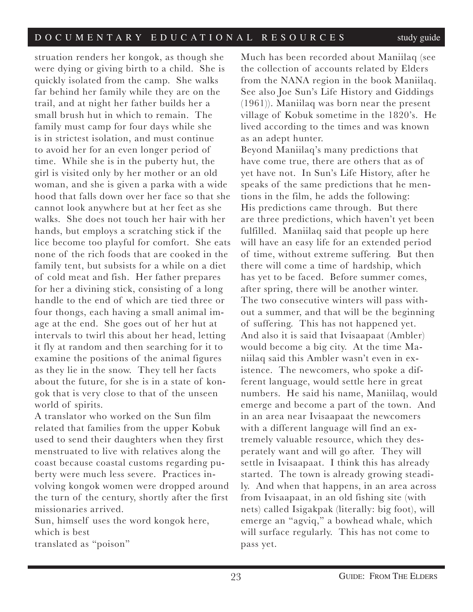struation renders her kongok, as though she were dying or giving birth to a child. She is quickly isolated from the camp. She walks far behind her family while they are on the trail, and at night her father builds her a small brush hut in which to remain. The family must camp for four days while she is in strictest isolation, and must continue to avoid her for an even longer period of time. While she is in the puberty hut, the girl is visited only by her mother or an old woman, and she is given a parka with a wide hood that falls down over her face so that she cannot look anywhere but at her feet as she walks. She does not touch her hair with her hands, but employs a scratching stick if the lice become too playful for comfort. She eats none of the rich foods that are cooked in the family tent, but subsists for a while on a diet of cold meat and fish. Her father prepares for her a divining stick, consisting of a long handle to the end of which are tied three or four thongs, each having a small animal image at the end. She goes out of her hut at intervals to twirl this about her head, letting it fly at random and then searching for it to examine the positions of the animal figures as they lie in the snow. They tell her facts about the future, for she is in a state of kongok that is very close to that of the unseen world of spirits.

A translator who worked on the Sun film related that families from the upper Kobuk used to send their daughters when they first menstruated to live with relatives along the coast because coastal customs regarding puberty were much less severe. Practices involving kongok women were dropped around the turn of the century, shortly after the first missionaries arrived.

Sun, himself uses the word kongok here, which is best translated as "poison"

Much has been recorded about Maniilaq (see the collection of accounts related by Elders from the NANA region in the book Maniilaq. See also Joe Sun's Life History and Giddings (1961)). Maniilaq was born near the present village of Kobuk sometime in the 1820's. He lived according to the times and was known as an adept hunter.

Beyond Maniilaq's many predictions that have come true, there are others that as of yet have not. In Sun's Life History, after he speaks of the same predictions that he mentions in the film, he adds the following: His predictions came through. But there are three predictions, which haven't yet been fulfilled. Maniilaq said that people up here will have an easy life for an extended period of time, without extreme suffering. But then there will come a time of hardship, which has yet to be faced. Before summer comes, after spring, there will be another winter. The two consecutive winters will pass without a summer, and that will be the beginning of suffering. This has not happened yet. And also it is said that Ivisaapaat (Ambler) would become a big city. At the time Maniilaq said this Ambler wasn't even in existence. The newcomers, who spoke a different language, would settle here in great numbers. He said his name, Maniilaq, would emerge and become a part of the town. And in an area near Ivisaapaat the newcomers with a different language will find an extremely valuable resource, which they desperately want and will go after. They will settle in Ivisaapaat. I think this has already started. The town is already growing steadily. And when that happens, in an area across from Ivisaapaat, in an old fishing site (with nets) called Isigakpak (literally: big foot), will emerge an "agviq," a bowhead whale, which will surface regularly. This has not come to pass yet.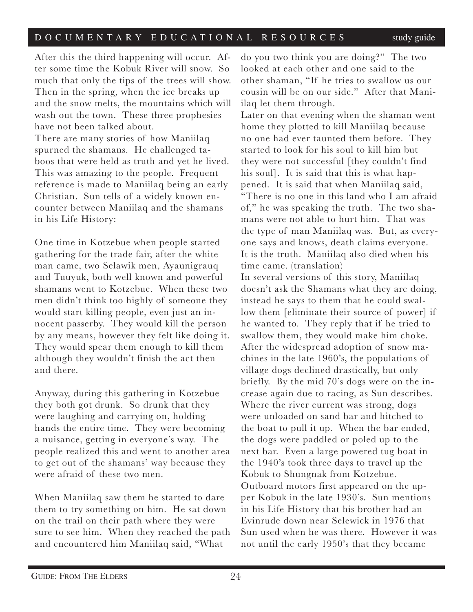After this the third happening will occur. After some time the Kobuk River will snow. So much that only the tips of the trees will show. Then in the spring, when the ice breaks up and the snow melts, the mountains which will wash out the town. These three prophesies have not been talked about. There are many stories of how Maniilaq

spurned the shamans. He challenged taboos that were held as truth and yet he lived. This was amazing to the people. Frequent reference is made to Maniilaq being an early Christian. Sun tells of a widely known encounter between Maniilaq and the shamans in his Life History:

One time in Kotzebue when people started gathering for the trade fair, after the white man came, two Selawik men, Ayaunigrauq and Tuuyuk, both well known and powerful shamans went to Kotzebue. When these two men didn't think too highly of someone they would start killing people, even just an innocent passerby. They would kill the person by any means, however they felt like doing it. They would spear them enough to kill them although they wouldn't finish the act then and there.

Anyway, during this gathering in Kotzebue they both got drunk. So drunk that they were laughing and carrying on, holding hands the entire time. They were becoming a nuisance, getting in everyone's way. The people realized this and went to another area to get out of the shamans' way because they were afraid of these two men.

When Maniilaq saw them he started to dare them to try something on him. He sat down on the trail on their path where they were sure to see him. When they reached the path and encountered him Maniilaq said, "What

do you two think you are doing?" The two looked at each other and one said to the other shaman, "If he tries to swallow us our cousin will be on our side." After that Maniilaq let them through.

Later on that evening when the shaman went home they plotted to kill Maniilaq because no one had ever taunted them before. They started to look for his soul to kill him but they were not successful [they couldn't find his soul]. It is said that this is what happened. It is said that when Maniilaq said, "There is no one in this land who I am afraid of," he was speaking the truth. The two shamans were not able to hurt him. That was the type of man Maniilaq was. But, as everyone says and knows, death claims everyone. It is the truth. Maniilaq also died when his time came. (translation)

In several versions of this story, Maniilaq doesn't ask the Shamans what they are doing, instead he says to them that he could swallow them [eliminate their source of power] if he wanted to. They reply that if he tried to swallow them, they would make him choke. After the widespread adoption of snow machines in the late 1960's, the populations of village dogs declined drastically, but only briefly. By the mid 70's dogs were on the increase again due to racing, as Sun describes. Where the river current was strong, dogs were unloaded on sand bar and hitched to the boat to pull it up. When the bar ended, the dogs were paddled or poled up to the next bar. Even a large powered tug boat in the 1940's took three days to travel up the Kobuk to Shungnak from Kotzebue. Outboard motors first appeared on the upper Kobuk in the late 1930's. Sun mentions in his Life History that his brother had an Evinrude down near Selewick in 1976 that Sun used when he was there. However it was not until the early 1950's that they became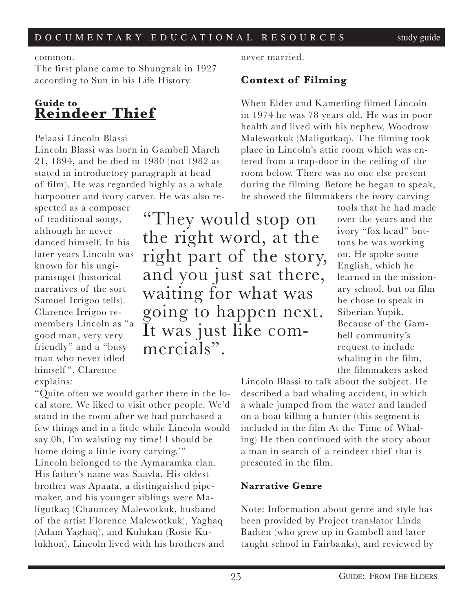### common.

The first plane came to Shungnak in 1927 according to Sun in his Life History.

# **Guide to Reindeer Thief**

### Pelaasi Lincoln Blassi

Lincoln Blassi was born in Gambell March 21, 1894, and he died in 1980 (not 1982 as stated in introductory paragraph at head of film). He was regarded highly as a whale harpooner and ivory carver. He was also re-

spected as a composer of traditional songs, although he never danced himself. In his later years Lincoln was known for his ungipamsuget (historical narratives of the sort Samuel Irrigoo tells). Clarence Irrigoo remembers Lincoln as "a good man, very very friendly" and a "busy man who never idled himself". Clarence explains:

"They would stop on the right word, at the right part of the story, and you just sat there, waiting for what was going to happen next. It was just like com- mercials".

never married.

### **Context of Filming**

When Elder and Kamerling filmed Lincoln in 1974 he was 78 years old. He was in poor health and lived with his nephew, Woodrow Malewotkuk (Maligutkaq). The filming took place in Lincoln's attic room which was entered from a trap-door in the ceiling of the room below. There was no one else present during the filming. Before he began to speak, he showed the filmmakers the ivory carving

> tools that he had made over the years and the ivory "fox head" buttons he was working on. He spoke some English, which he learned in the missionary school, but on film he chose to speak in Siberian Yupik. Because of the Gambell community's request to include whaling in the film, the filmmakers asked

Lincoln Blassi to talk about the subject. He described a bad whaling accident, in which a whale jumped from the water and landed on a boat killing a hunter (this segment is included in the film At the Time of Whaling) He then continued with the story about a man in search of a reindeer thief that is presented in the film.

### **Narrative Genre**

Note: Information about genre and style has been provided by Project translator Linda Badten (who grew up in Gambell and later taught school in Fairbanks), and reviewed by

"Quite often we would gather there in the local store. We liked to visit other people. We'd stand in the room after we had purchased a few things and in a little while Lincoln would say 0h, I'm waisting my time! I should be home doing a little ivory carving." Lincoln belonged to the Aymaramka clan. His father's name was Saavla. His oldest brother was Apaata, a distinguished pipemaker, and his younger siblings were Maligutkaq (Chauncey Malewotkuk, husband of the artist Florence Malewotkuk), Yaghaq (Adam Yaghaq), and Kulukan (Rosie Kulukhon). Lincoln lived with his brothers and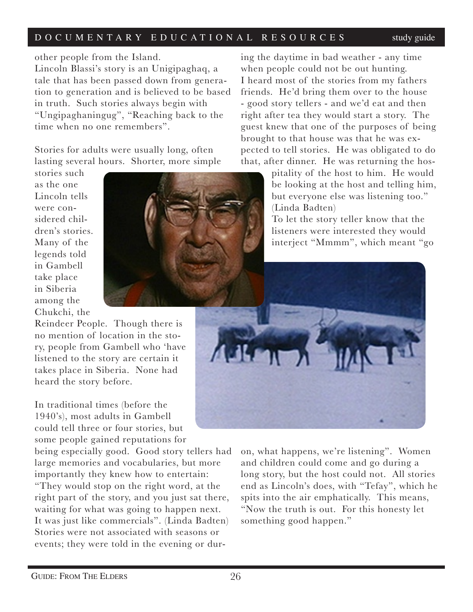other people from the Island.

Lincoln Blassi's story is an Unigipaghaq, a tale that has been passed down from generation to generation and is believed to be based in truth. Such stories always begin with "Ungipaghaningug", "Reaching back to the time when no one remembers".

Stories for adults were usually long, often lasting several hours. Shorter, more simple

stories such as the one Lincoln tells were considered children's stories. Many of the legends told in Gambell take place in Siberia among the Chukchi, the

Reindeer People. Though there is no mention of location in the story, people from Gambell who 'have listened to the story are certain it takes place in Siberia. None had heard the story before.

In traditional times (before the 1940's), most adults in Gambell could tell three or four stories, but some people gained reputations for

being especially good. Good story tellers had large memories and vocabularies, but more importantly they knew how to entertain: "They would stop on the right word, at the right part of the story, and you just sat there, waiting for what was going to happen next. It was just like commercials". (Linda Badten) Stories were not associated with seasons or events; they were told in the evening or dur-

ing the daytime in bad weather - any time when people could not be out hunting. I heard most of the stories from my fathers friends. He'd bring them over to the house - good story tellers - and we'd eat and then right after tea they would start a story. The guest knew that one of the purposes of being brought to that house was that he was expected to tell stories. He was obligated to do that, after dinner. He was returning the hos-

> pitality of the host to him. He would be looking at the host and telling him, but everyone else was listening too." (Linda Badten)

To let the story teller know that the listeners were interested they would interject "Mmmm", which meant "go



on, what happens, we're listening". Women and children could come and go during a long story, but the host could not. All stories end as Lincoln's does, with "Tefay", which he spits into the air emphatically. This means, "Now the truth is out. For this honesty let something good happen."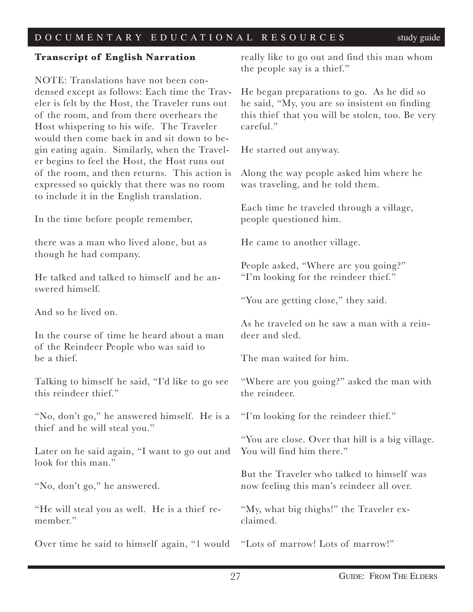### **Transcript of English Narration**

NOTE: Translations have not been condensed except as follows: Each time the Traveler is felt by the Host, the Traveler runs out of the room, and from there overhears the Host whispering to his wife. The Traveler would then come back in and sit down to begin eating again. Similarly, when the Traveler begins to feel the Host, the Host runs out of the room, and then returns. This action is expressed so quickly that there was no room to include it in the English translation.

In the time before people remember,

there was a man who lived alone, but as though he had company.

He talked and talked to himself and he answered himself.

And so he lived on.

In the course of time he heard about a man of the Reindeer People who was said to be a thief.

Talking to himself he said, "I'd like to go see this reindeer thief."

"No, don't go," he answered himself. He is a thief and he will steal you."

Later on he said again, "I want to go out and look for this man."

"No, don't go," he answered.

"He will steal you as well. He is a thief remember."

Over time he said to himself again, "1 would

really like to go out and find this man whom the people say is a thief."

He began preparations to go. As he did so he said, "My, you are so insistent on finding this thief that you will be stolen, too. Be very careful."

He started out anyway.

Along the way people asked him where he was traveling, and he told them.

Each time he traveled through a village, people questioned him.

He came to another village.

People asked, "Where are you going?" "I'm looking for the reindeer thief."

"You are getting close," they said.

As he traveled on he saw a man with a reindeer and sled.

The man waited for him.

"Where are you going?" asked the man with the reindeer.

"I'm looking for the reindeer thief."

"You are close. Over that hill is a big village. You will find him there."

But the Traveler who talked to himself was now feeling this man's reindeer all over.

"My, what big thighs!" the Traveler exclaimed.

"Lots of marrow! Lots of marrow!"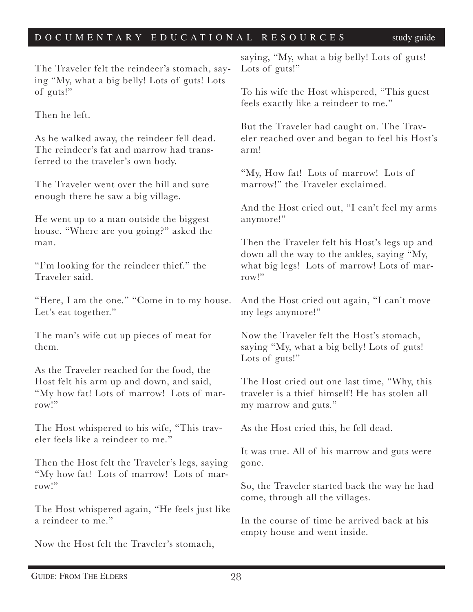The Traveler felt the reindeer's stomach, saying "My, what a big belly! Lots of guts! Lots of guts!"

Then he left.

As he walked away, the reindeer fell dead. The reindeer's fat and marrow had transferred to the traveler's own body.

The Traveler went over the hill and sure enough there he saw a big village.

He went up to a man outside the biggest house. "Where are you going?" asked the man.

"I'm looking for the reindeer thief." the Traveler said.

"Here, I am the one." "Come in to my house. Let's eat together."

The man's wife cut up pieces of meat for them.

As the Traveler reached for the food, the Host felt his arm up and down, and said, "My how fat! Lots of marrow! Lots of marrow!"

The Host whispered to his wife, "This traveler feels like a reindeer to me."

Then the Host felt the Traveler's legs, saying "My how fat! Lots of marrow! Lots of marrow!"

The Host whispered again, "He feels just like a reindeer to me."

Now the Host felt the Traveler's stomach,

saying, "My, what a big belly! Lots of guts! Lots of guts!"

To his wife the Host whispered, "This guest feels exactly like a reindeer to me."

But the Traveler had caught on. The Traveler reached over and began to feel his Host's arm!

"My, How fat! Lots of marrow! Lots of marrow!" the Traveler exclaimed.

And the Host cried out, "I can't feel my arms anymore!"

Then the Traveler felt his Host's legs up and down all the way to the ankles, saying "My, what big legs! Lots of marrow! Lots of marrow!"

And the Host cried out again, "I can't move my legs anymore!"

Now the Traveler felt the Host's stomach, saying "My, what a big belly! Lots of guts! Lots of guts!"

The Host cried out one last time, "Why, this traveler is a thief himself! He has stolen all my marrow and guts."

As the Host cried this, he fell dead.

It was true. All of his marrow and guts were gone.

So, the Traveler started back the way he had come, through all the villages.

In the course of time he arrived back at his empty house and went inside.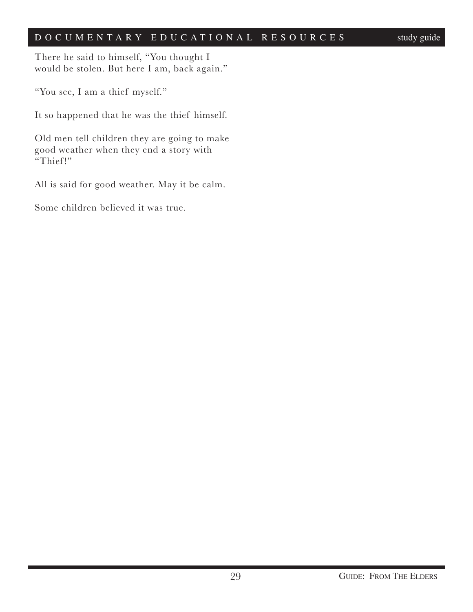There he said to himself, "You thought I would be stolen. But here I am, back again."

"You see, I am a thief myself."

It so happened that he was the thief himself.

Old men tell children they are going to make good weather when they end a story with "Thief!"

All is said for good weather. May it be calm.

Some children believed it was true.